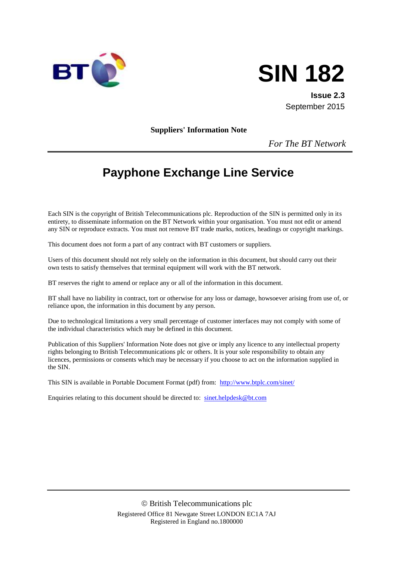



**Issue 2.3** September 2015

**Suppliers' Information Note**

*For The BT Network*

# **Payphone Exchange Line Service**

Each SIN is the copyright of British Telecommunications plc. Reproduction of the SIN is permitted only in its entirety, to disseminate information on the BT Network within your organisation. You must not edit or amend any SIN or reproduce extracts. You must not remove BT trade marks, notices, headings or copyright markings.

This document does not form a part of any contract with BT customers or suppliers.

Users of this document should not rely solely on the information in this document, but should carry out their own tests to satisfy themselves that terminal equipment will work with the BT network.

BT reserves the right to amend or replace any or all of the information in this document.

BT shall have no liability in contract, tort or otherwise for any loss or damage, howsoever arising from use of, or reliance upon, the information in this document by any person.

Due to technological limitations a very small percentage of customer interfaces may not comply with some of the individual characteristics which may be defined in this document.

Publication of this Suppliers' Information Note does not give or imply any licence to any intellectual property rights belonging to British Telecommunications plc or others. It is your sole responsibility to obtain any licences, permissions or consents which may be necessary if you choose to act on the information supplied in the SIN.

This SIN is available in Portable Document Format (pdf) from: <http://www.btplc.com/sinet/>

Enquiries relating to this document should be directed to: [sinet.helpdesk@bt.com](mailto:sinet.helpdesk@bt.com)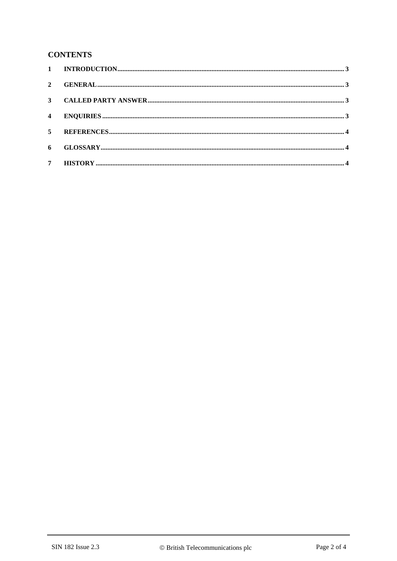#### **CONTENTS**

| $\overline{\mathbf{2}}$ |  |
|-------------------------|--|
|                         |  |
| $\overline{4}$          |  |
| 5 <sup>7</sup>          |  |
| 6                       |  |
| 7 <sup>7</sup>          |  |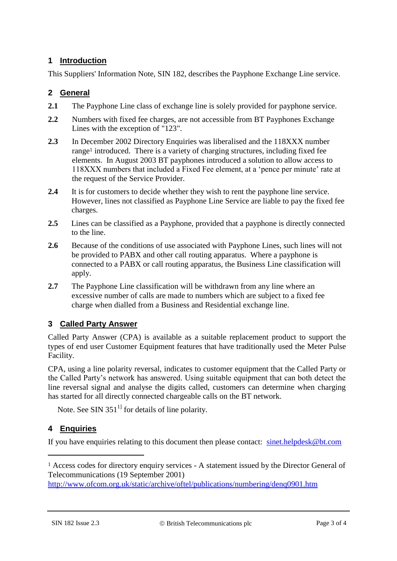# **1 Introduction**

This Suppliers' Information Note, SIN 182, describes the Payphone Exchange Line service.

## **2 General**

- **2.1** The Payphone Line class of exchange line is solely provided for payphone service.
- **2.2** Numbers with fixed fee charges, are not accessible from BT Payphones Exchange Lines with the exception of "123".
- **2.3** In December 2002 Directory Enquiries was liberalised and the 118XXX number range<sup>1</sup> introduced. There is a variety of charging structures, including fixed fee elements. In August 2003 BT payphones introduced a solution to allow access to 118XXX numbers that included a Fixed Fee element, at a 'pence per minute' rate at the request of the Service Provider.
- **2.4** It is for customers to decide whether they wish to rent the payphone line service. However, lines not classified as Payphone Line Service are liable to pay the fixed fee charges.
- **2.5** Lines can be classified as a Payphone, provided that a payphone is directly connected to the line.
- **2.6** Because of the conditions of use associated with Payphone Lines, such lines will not be provided to PABX and other call routing apparatus. Where a payphone is connected to a PABX or call routing apparatus, the Business Line classification will apply.
- **2.7** The Payphone Line classification will be withdrawn from any line where an excessive number of calls are made to numbers which are subject to a fixed fee charge when dialled from a Business and Residential exchange line.

### **3 Called Party Answer**

Called Party Answer (CPA) is available as a suitable replacement product to support the types of end user Customer Equipment features that have traditionally used the Meter Pulse Facility.

CPA, using a line polarity reversal, indicates to customer equipment that the Called Party or the Called Party's network has answered. Using suitable equipment that can both detect the line reversal signal and analyse the digits called, customers can determine when charging has started for all directly connected chargeable calls on the BT network.

Note. See SIN  $351<sup>1</sup>$  for details of line polarity.

# **4 Enquiries**

<u>.</u>

If you have enquiries relating to this document then please contact: [sinet.helpdesk@bt.com](mailto:sinet.helpdesk@bt.com)

<sup>1</sup> Access codes for directory enquiry services - A statement issued by the Director General of Telecommunications (19 September 2001)

<http://www.ofcom.org.uk/static/archive/oftel/publications/numbering/denq0901.htm>